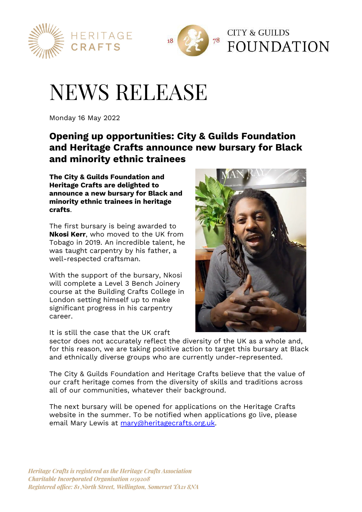



# NEWS RELEASE

Monday 16 May 2022

# **Opening up opportunities: City & Guilds Foundation and Heritage Crafts announce new bursary for Black and minority ethnic trainees**

**The City & Guilds Foundation and Heritage Crafts are delighted to announce a new bursary for Black and minority ethnic trainees in heritage crafts**.

The first bursary is being awarded to **Nkosi Kerr**, who moved to the UK from Tobago in 2019. An incredible talent, he was taught carpentry by his father, a well-respected craftsman.

With the support of the bursary, Nkosi will complete a Level 3 Bench Joinery course at the Building Crafts College in London setting himself up to make significant progress in his carpentry career.

It is still the case that the UK craft



sector does not accurately reflect the diversity of the UK as a whole and, for this reason, we are taking positive action to target this bursary at Black and ethnically diverse groups who are currently under-represented.

The City & Guilds Foundation and Heritage Crafts believe that the value of our craft heritage comes from the diversity of skills and traditions across all of our communities, whatever their background.

The next bursary will be opened for applications on the Heritage Crafts website in the summer. To be notified when applications go live, please email Mary Lewis at mary@heritagecrafts.org.uk.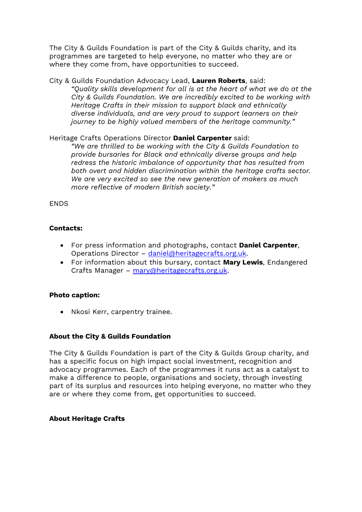The City & Guilds Foundation is part of the City & Guilds charity, and its programmes are targeted to help everyone, no matter who they are or where they come from, have opportunities to succeed.

### City & Guilds Foundation Advocacy Lead, **Lauren Roberts**, said: *"Quality skills development for all is at the heart of what we do at the City & Guilds Foundation. We are incredibly excited to be working with Heritage Crafts in their mission to support black and ethnically diverse individuals, and are very proud to support learners on their journey to be highly valued members of the heritage community."*

# Heritage Crafts Operations Director **Daniel Carpenter** said:

*"We are thrilled to be working with the City & Guilds Foundation to provide bursaries for Black and ethnically diverse groups and help redress the historic imbalance of opportunity that has resulted from both overt and hidden discrimination within the heritage crafts sector. We are very excited so see the new generation of makers as much more reflective of modern British society."*

# **FNDS**

## **Contacts:**

- For press information and photographs, contact **Daniel Carpenter**, Operations Director – daniel@heritagecrafts.org.uk.
- For information about this bursary, contact **Mary Lewis**, Endangered Crafts Manager – mary@heritagecrafts.org.uk.

#### **Photo caption:**

Nkosi Kerr, carpentry trainee.

#### **About the City & Guilds Foundation**

The City & Guilds Foundation is part of the City & Guilds Group charity, and has a specific focus on high impact social investment, recognition and advocacy programmes. Each of the programmes it runs act as a catalyst to make a difference to people, organisations and society, through investing part of its surplus and resources into helping everyone, no matter who they are or where they come from, get opportunities to succeed.

#### **About Heritage Crafts**